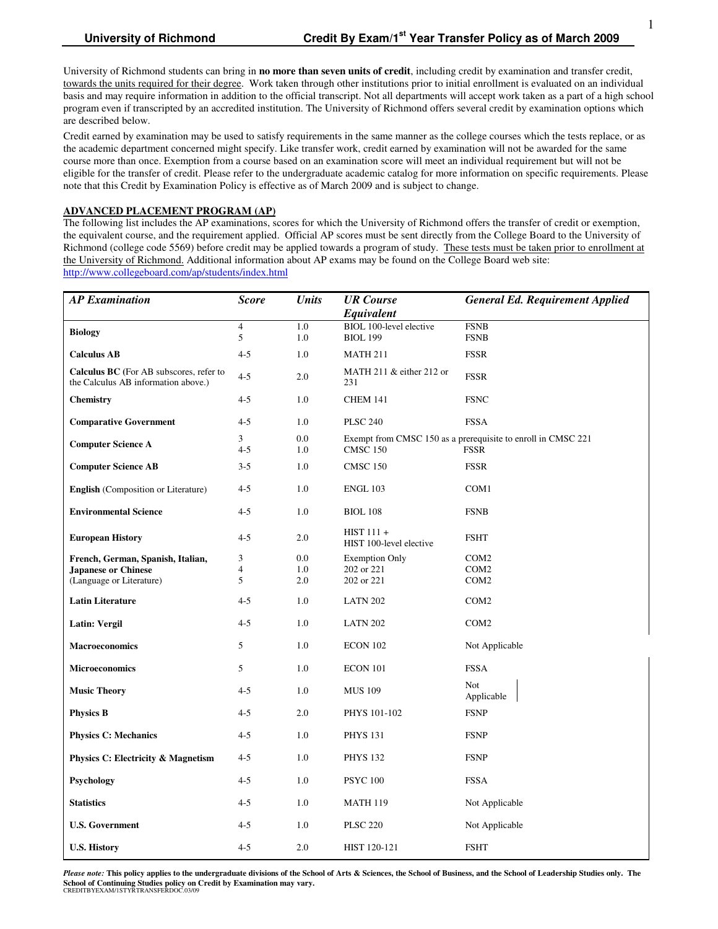University of Richmond students can bring in **no more than seven units of credit**, including credit by examination and transfer credit, towards the units required for their degree. Work taken through other institutions prior to initial enrollment is evaluated on an individual basis and may require information in addition to the official transcript. Not all departments will accept work taken as a part of a high school program even if transcripted by an accredited institution. The University of Richmond offers several credit by examination options which are described below.

Credit earned by examination may be used to satisfy requirements in the same manner as the college courses which the tests replace, or as the academic department concerned might specify. Like transfer work, credit earned by examination will not be awarded for the same course more than once. Exemption from a course based on an examination score will meet an individual requirement but will not be eligible for the transfer of credit. Please refer to the undergraduate academic catalog for more information on specific requirements. Please note that this Credit by Examination Policy is effective as of March 2009 and is subject to change.

### **ADVANCED PLACEMENT PROGRAM (AP)**

The following list includes the AP examinations, scores for which the University of Richmond offers the transfer of credit or exemption, the equivalent course, and the requirement applied. Official AP scores must be sent directly from the College Board to the University of Richmond (college code 5569) before credit may be applied towards a program of study. These tests must be taken prior to enrollment at the University of Richmond. Additional information about AP exams may be found on the College Board web site: http://www.collegeboard.com/ap/students/index.html

| <b>AP</b> Examination                                                                 | <b>Score</b>        | <b>Units</b> | <b>UR</b> Course<br>Equivalent                   | <b>General Ed. Requirement Applied</b>                                      |
|---------------------------------------------------------------------------------------|---------------------|--------------|--------------------------------------------------|-----------------------------------------------------------------------------|
| <b>Biology</b>                                                                        | $\overline{4}$<br>5 | 1.0<br>1.0   | BIOL 100-level elective<br><b>BIOL 199</b>       | <b>FSNB</b><br><b>FSNB</b>                                                  |
| <b>Calculus AB</b>                                                                    | $4 - 5$             | 1.0          | <b>MATH 211</b>                                  | <b>FSSR</b>                                                                 |
| <b>Calculus BC</b> (For AB subscores, refer to<br>the Calculus AB information above.) | $4 - 5$             | 2.0          | MATH 211 $&$ either 212 or<br><b>FSSR</b><br>231 |                                                                             |
| <b>Chemistry</b>                                                                      | $4 - 5$             | 1.0          | CHEM 141                                         | <b>FSNC</b>                                                                 |
| <b>Comparative Government</b>                                                         | $4 - 5$             | 1.0          | <b>PLSC 240</b>                                  | <b>FSSA</b>                                                                 |
| <b>Computer Science A</b>                                                             | 3<br>$4 - 5$        | 0.0<br>1.0   | <b>CMSC 150</b>                                  | Exempt from CMSC 150 as a prerequisite to enroll in CMSC 221<br><b>FSSR</b> |
| <b>Computer Science AB</b>                                                            | $3 - 5$             | 1.0          | <b>CMSC 150</b>                                  | <b>FSSR</b>                                                                 |
| <b>English</b> (Composition or Literature)                                            | $4 - 5$             | 1.0          | <b>ENGL 103</b>                                  | COM1                                                                        |
| <b>Environmental Science</b>                                                          | $4 - 5$             | 1.0          | <b>BIOL 108</b>                                  | <b>FSNB</b>                                                                 |
| <b>European History</b>                                                               | $4 - 5$             | 2.0          | $HIST 111 +$<br>HIST 100-level elective          | <b>FSHT</b>                                                                 |
| French, German, Spanish, Italian,                                                     | 3                   | 0.0          | <b>Exemption Only</b>                            | COM <sub>2</sub>                                                            |
| <b>Japanese or Chinese</b><br>(Language or Literature)                                | $\overline{4}$<br>5 | 1.0<br>2.0   | 202 or 221<br>202 or 221                         | COM <sub>2</sub><br>COM <sub>2</sub>                                        |
|                                                                                       |                     |              |                                                  |                                                                             |
| <b>Latin Literature</b>                                                               | $4 - 5$             | 1.0          | <b>LATN 202</b>                                  | COM <sub>2</sub>                                                            |
| <b>Latin: Vergil</b>                                                                  | $4 - 5$             | 1.0          | <b>LATN 202</b>                                  | COM <sub>2</sub>                                                            |
| <b>Macroeconomics</b>                                                                 | 5                   | 1.0          | <b>ECON 102</b>                                  | Not Applicable                                                              |
| <b>Microeconomics</b>                                                                 | 5                   | 1.0          | <b>ECON 101</b>                                  | <b>FSSA</b>                                                                 |
| <b>Music Theory</b>                                                                   | $4 - 5$             | 1.0          | <b>MUS 109</b>                                   | <b>Not</b><br>Applicable                                                    |
| <b>Physics B</b>                                                                      | $4 - 5$             | 2.0          | PHYS 101-102                                     | <b>FSNP</b>                                                                 |
| <b>Physics C: Mechanics</b>                                                           | $4 - 5$             | 1.0          | <b>PHYS 131</b>                                  | <b>FSNP</b>                                                                 |
| <b>Physics C: Electricity &amp; Magnetism</b>                                         | $4 - 5$             | 1.0          | <b>PHYS 132</b>                                  | <b>FSNP</b>                                                                 |
| Psychology                                                                            | $4 - 5$             | 1.0          | <b>PSYC 100</b>                                  | <b>FSSA</b>                                                                 |
| <b>Statistics</b>                                                                     | $4 - 5$             | 1.0          | <b>MATH 119</b>                                  | Not Applicable                                                              |
| <b>U.S. Government</b>                                                                | $4 - 5$             | 1.0          | <b>PLSC 220</b>                                  | Not Applicable                                                              |
| <b>U.S. History</b>                                                                   | $4 - 5$             | 2.0          | <b>HIST 120-121</b>                              | <b>FSHT</b>                                                                 |

*Please note:* **This policy applies to the undergraduate divisions of the School of Arts & Sciences, the School of Business, and the School of Leadership Studies only. The School of Continuing Studies policy on Credit by Examination may vary.**  CREDITBYEXAM/1STYRTRANSFERDOC.03/09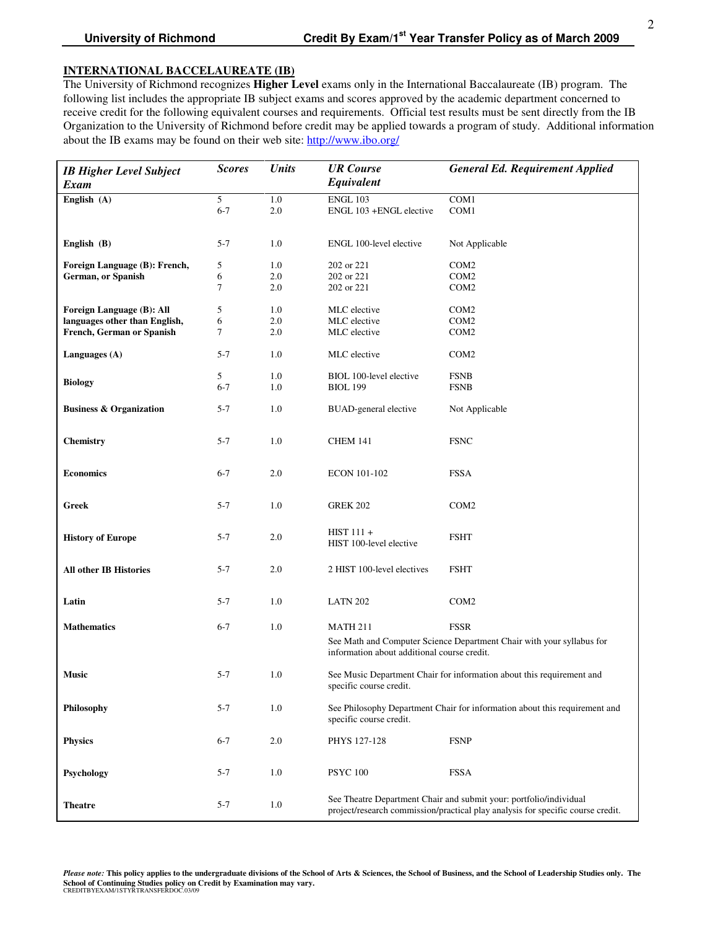The University of Richmond recognizes **Higher Level** exams only in the International Baccalaureate (IB) program. The following list includes the appropriate IB subject exams and scores approved by the academic department concerned to receive credit for the following equivalent courses and requirements. Official test results must be sent directly from the IB Organization to the University of Richmond before credit may be applied towards a program of study. Additional information about the IB exams may be found on their web site: http://www.ibo.org/

| <b>IB Higher Level Subject</b><br><b>Exam</b> | <b>Scores</b> | <b>Units</b> | <b>UR</b> Course<br><b>General Ed. Requirement Applied</b><br>Equivalent                                                                              |                  |  |
|-----------------------------------------------|---------------|--------------|-------------------------------------------------------------------------------------------------------------------------------------------------------|------------------|--|
| English (A)                                   | 5             | 1.0          | <b>ENGL 103</b>                                                                                                                                       | COM1             |  |
|                                               | $6 - 7$       | 2.0          | ENGL 103 +ENGL elective                                                                                                                               | COM1             |  |
|                                               |               |              |                                                                                                                                                       |                  |  |
| English (B)                                   | $5 - 7$       | 1.0          | ENGL 100-level elective                                                                                                                               | Not Applicable   |  |
| Foreign Language (B): French,                 | 5             | 1.0          | 202 or 221                                                                                                                                            | COM <sub>2</sub> |  |
| German, or Spanish                            | 6             | 2.0          | 202 or 221                                                                                                                                            | COM <sub>2</sub> |  |
|                                               | 7             | 2.0          | 202 or 221                                                                                                                                            | COM <sub>2</sub> |  |
| Foreign Language (B): All                     | 5             | 1.0          | MLC elective                                                                                                                                          | COM <sub>2</sub> |  |
| languages other than English,                 | 6             | 2.0          | MLC elective                                                                                                                                          | COM <sub>2</sub> |  |
| French, German or Spanish                     | 7             | 2.0          | MLC elective                                                                                                                                          | COM <sub>2</sub> |  |
| Languages (A)                                 | $5 - 7$       | 1.0          | MLC elective                                                                                                                                          | COM <sub>2</sub> |  |
|                                               | 5             | 1.0          | BIOL 100-level elective                                                                                                                               | <b>FSNB</b>      |  |
| <b>Biology</b>                                | $6 - 7$       | 1.0          | <b>BIOL 199</b>                                                                                                                                       | <b>FSNB</b>      |  |
| <b>Business &amp; Organization</b>            | $5 - 7$       | 1.0          | <b>BUAD-general elective</b>                                                                                                                          | Not Applicable   |  |
| <b>Chemistry</b>                              | $5 - 7$       | 1.0          | <b>CHEM 141</b>                                                                                                                                       | <b>FSNC</b>      |  |
| <b>Economics</b>                              | $6 - 7$       | 2.0          | <b>ECON 101-102</b>                                                                                                                                   | <b>FSSA</b>      |  |
| Greek                                         | $5 - 7$       | 1.0          | <b>GREK 202</b>                                                                                                                                       | COM <sub>2</sub> |  |
| <b>History of Europe</b>                      | $5 - 7$       | 2.0          | $HIST 111 +$<br><b>FSHT</b><br>HIST 100-level elective                                                                                                |                  |  |
| <b>All other IB Histories</b>                 | $5 - 7$       | 2.0          | 2 HIST 100-level electives                                                                                                                            | <b>FSHT</b>      |  |
| Latin                                         | $5 - 7$       | 1.0          | LATN 202                                                                                                                                              | COM <sub>2</sub> |  |
| <b>Mathematics</b>                            | $6 - 7$       | 1.0          | <b>MATH 211</b>                                                                                                                                       | <b>FSSR</b>      |  |
|                                               |               |              | See Math and Computer Science Department Chair with your syllabus for<br>information about additional course credit.                                  |                  |  |
| <b>Music</b>                                  | $5 - 7$       | 1.0          | See Music Department Chair for information about this requirement and<br>specific course credit.                                                      |                  |  |
| Philosophy                                    | $5 - 7$       | $1.0\,$      | See Philosophy Department Chair for information about this requirement and<br>specific course credit.                                                 |                  |  |
| <b>Physics</b>                                | $6 - 7$       | 2.0          | PHYS 127-128                                                                                                                                          | <b>FSNP</b>      |  |
| Psychology                                    | $5 - 7$       | 1.0          | <b>PSYC 100</b>                                                                                                                                       | <b>FSSA</b>      |  |
| <b>Theatre</b>                                | $5 - 7$       | 1.0          | See Theatre Department Chair and submit your: portfolio/individual<br>project/research commission/practical play analysis for specific course credit. |                  |  |

*Please note:* **This policy applies to the undergraduate divisions of the School of Arts & Sciences, the School of Business, and the School of Leadership Studies only. The School of Continuing Studies policy on Credit by Examination may vary.**  CREDITBYEXAM/1STYRTRANSFERDOC.03/09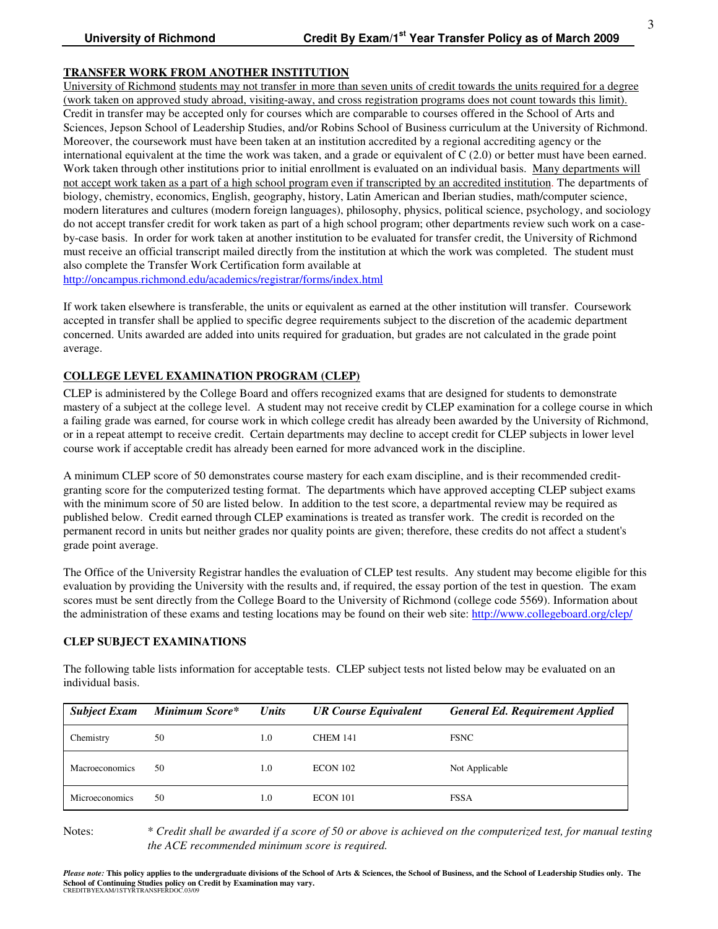# **TRANSFER WORK FROM ANOTHER INSTITUTION**

University of Richmond students may not transfer in more than seven units of credit towards the units required for a degree (work taken on approved study abroad, visiting-away, and cross registration programs does not count towards this limit). Credit in transfer may be accepted only for courses which are comparable to courses offered in the School of Arts and Sciences, Jepson School of Leadership Studies, and/or Robins School of Business curriculum at the University of Richmond. Moreover, the coursework must have been taken at an institution accredited by a regional accrediting agency or the international equivalent at the time the work was taken, and a grade or equivalent of C (2.0) or better must have been earned. Work taken through other institutions prior to initial enrollment is evaluated on an individual basis. Many departments will not accept work taken as a part of a high school program even if transcripted by an accredited institution. The departments of biology, chemistry, economics, English, geography, history, Latin American and Iberian studies, math/computer science, modern literatures and cultures (modern foreign languages), philosophy, physics, political science, psychology, and sociology do not accept transfer credit for work taken as part of a high school program; other departments review such work on a caseby-case basis. In order for work taken at another institution to be evaluated for transfer credit, the University of Richmond must receive an official transcript mailed directly from the institution at which the work was completed. The student must also complete the Transfer Work Certification form available at http://oncampus.richmond.edu/academics/registrar/forms/index.html

If work taken elsewhere is transferable, the units or equivalent as earned at the other institution will transfer. Coursework accepted in transfer shall be applied to specific degree requirements subject to the discretion of the academic department concerned. Units awarded are added into units required for graduation, but grades are not calculated in the grade point average.

# **COLLEGE LEVEL EXAMINATION PROGRAM (CLEP)**

CLEP is administered by the College Board and offers recognized exams that are designed for students to demonstrate mastery of a subject at the college level. A student may not receive credit by CLEP examination for a college course in which a failing grade was earned, for course work in which college credit has already been awarded by the University of Richmond, or in a repeat attempt to receive credit. Certain departments may decline to accept credit for CLEP subjects in lower level course work if acceptable credit has already been earned for more advanced work in the discipline.

A minimum CLEP score of 50 demonstrates course mastery for each exam discipline, and is their recommended creditgranting score for the computerized testing format. The departments which have approved accepting CLEP subject exams with the minimum score of 50 are listed below. In addition to the test score, a departmental review may be required as published below. Credit earned through CLEP examinations is treated as transfer work. The credit is recorded on the permanent record in units but neither grades nor quality points are given; therefore, these credits do not affect a student's grade point average.

The Office of the University Registrar handles the evaluation of CLEP test results. Any student may become eligible for this evaluation by providing the University with the results and, if required, the essay portion of the test in question. The exam scores must be sent directly from the College Board to the University of Richmond (college code 5569). Information about the administration of these exams and testing locations may be found on their web site: http://www.collegeboard.org/clep/

# **CLEP SUBJECT EXAMINATIONS**

The following table lists information for acceptable tests. CLEP subject tests not listed below may be evaluated on an individual basis.

| <b>Subject Exam</b>   | Minimum Score* | <b>Units</b> | <b>UR Course Equivalent</b> | <b>General Ed. Requirement Applied</b> |
|-----------------------|----------------|--------------|-----------------------------|----------------------------------------|
| Chemistry             | 50             | 1.0          | <b>CHEM 141</b>             | <b>FSNC</b>                            |
| Macroeconomics        | 50             | 1.0          | ECON 102                    | Not Applicable                         |
| <b>Microeconomics</b> | 50             | 1.0          | <b>ECON 101</b>             | <b>FSSA</b>                            |

Notes: \* *Credit shall be awarded if a score of 50 or above is achieved on the computerized test, for manual testing the ACE recommended minimum score is required.*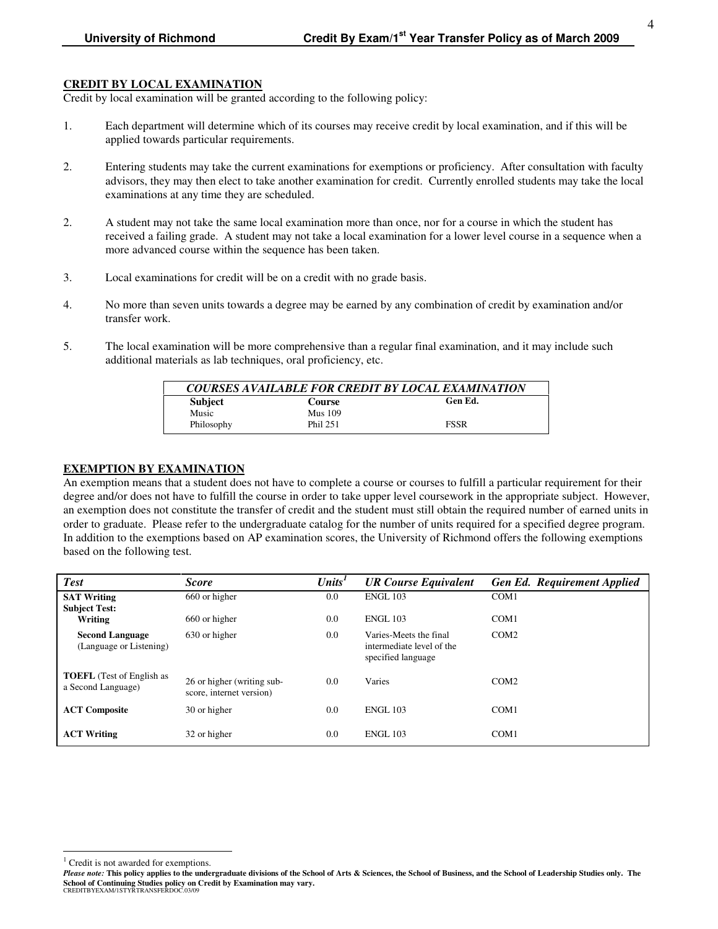# **CREDIT BY LOCAL EXAMINATION**

Credit by local examination will be granted according to the following policy:

- 1. Each department will determine which of its courses may receive credit by local examination, and if this will be applied towards particular requirements.
- 2. Entering students may take the current examinations for exemptions or proficiency. After consultation with faculty advisors, they may then elect to take another examination for credit. Currently enrolled students may take the local examinations at any time they are scheduled.
- 2. A student may not take the same local examination more than once, nor for a course in which the student has received a failing grade. A student may not take a local examination for a lower level course in a sequence when a more advanced course within the sequence has been taken.
- 3. Local examinations for credit will be on a credit with no grade basis.
- 4. No more than seven units towards a degree may be earned by any combination of credit by examination and/or transfer work.
- 5. The local examination will be more comprehensive than a regular final examination, and it may include such additional materials as lab techniques, oral proficiency, etc.

| COURSES AVAILABLE FOR CREDIT BY LOCAL EXAMINATION |                |             |  |  |
|---------------------------------------------------|----------------|-------------|--|--|
| <b>Subject</b>                                    | Course         | Gen Ed.     |  |  |
| Music                                             | <b>Mus</b> 109 |             |  |  |
| Philosophy                                        | Phil 251       | <b>FSSR</b> |  |  |

# **EXEMPTION BY EXAMINATION**

An exemption means that a student does not have to complete a course or courses to fulfill a particular requirement for their degree and/or does not have to fulfill the course in order to take upper level coursework in the appropriate subject. However, an exemption does not constitute the transfer of credit and the student must still obtain the required number of earned units in order to graduate. Please refer to the undergraduate catalog for the number of units required for a specified degree program. In addition to the exemptions based on AP examination scores, the University of Richmond offers the following exemptions based on the following test.

| <b>Test</b>                                            | <b>Score</b>                                           | Units' | <b>UR Course Equivalent</b>                                               | <b>Gen Ed. Requirement Applied</b> |
|--------------------------------------------------------|--------------------------------------------------------|--------|---------------------------------------------------------------------------|------------------------------------|
| <b>SAT Writing</b>                                     | 660 or higher                                          | 0.0    | <b>ENGL 103</b>                                                           | COM1                               |
| <b>Subject Test:</b>                                   |                                                        |        |                                                                           |                                    |
| Writing                                                | 660 or higher                                          | 0.0    | <b>ENGL 103</b>                                                           | COM <sub>1</sub>                   |
| <b>Second Language</b><br>(Language or Listening)      | 630 or higher                                          | 0.0    | Varies-Meets the final<br>intermediate level of the<br>specified language | COM <sub>2</sub>                   |
| <b>TOEFL</b> (Test of English as<br>a Second Language) | 26 or higher (writing sub-<br>score, internet version) | 0.0    | Varies                                                                    | COM <sub>2</sub>                   |
| <b>ACT Composite</b>                                   | 30 or higher                                           | 0.0    | <b>ENGL 103</b>                                                           | COM1                               |
| <b>ACT Writing</b>                                     | 32 or higher                                           | 0.0    | <b>ENGL 103</b>                                                           | COM <sub>1</sub>                   |

<u>.</u>

<sup>&</sup>lt;sup>1</sup> Credit is not awarded for exemptions.

*Please note:* **This policy applies to the undergraduate divisions of the School of Arts & Sciences, the School of Business, and the School of Leadership Studies only. The School of Continuing Studies policy on Credit by Examination may vary.**  CREDITBYEXAM/1STYRTRANSFERDOC.03/09